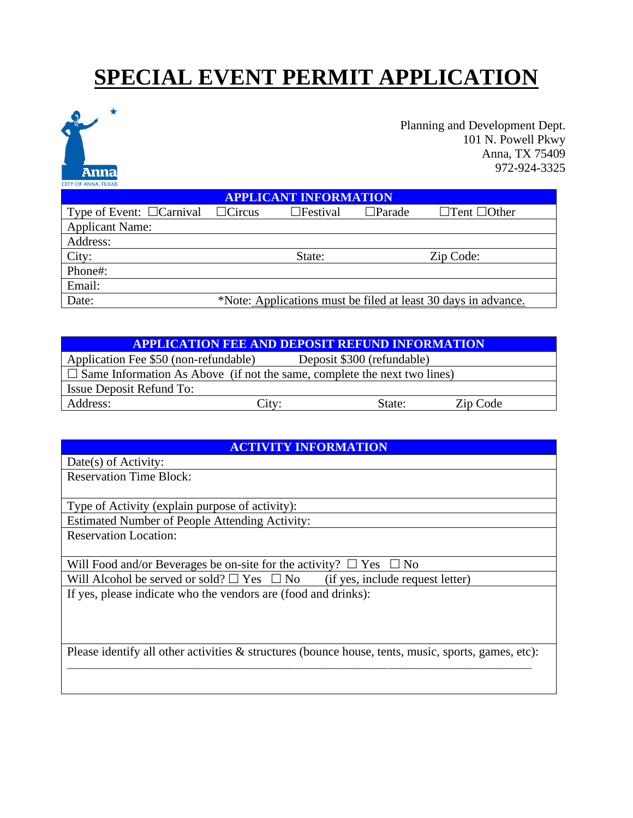# **SPECIAL EVENT PERMIT APPLICATION**



| Applicant Name: |                                                                |           |
|-----------------|----------------------------------------------------------------|-----------|
| Address:        |                                                                |           |
| City:           | State:                                                         | Zip Code: |
| Phone#:         |                                                                |           |
| Email:          |                                                                |           |
| Date:           | *Note: Applications must be filed at least 30 days in advance. |           |

| <b>APPLICATION FEE AND DEPOSIT REFUND INFORMATION</b>                           |       |                            |          |  |  |
|---------------------------------------------------------------------------------|-------|----------------------------|----------|--|--|
| Application Fee \$50 (non-refundable)                                           |       | Deposit \$300 (refundable) |          |  |  |
| $\Box$ Same Information As Above (if not the same, complete the next two lines) |       |                            |          |  |  |
| <b>Issue Deposit Refund To:</b>                                                 |       |                            |          |  |  |
| Address:                                                                        | City: | State:                     | Zip Code |  |  |

| <b>ACTIVITY INFORMATION</b>                                                                            |  |  |  |
|--------------------------------------------------------------------------------------------------------|--|--|--|
| Date(s) of Activity:                                                                                   |  |  |  |
| <b>Reservation Time Block:</b>                                                                         |  |  |  |
|                                                                                                        |  |  |  |
| Type of Activity (explain purpose of activity):                                                        |  |  |  |
| <b>Estimated Number of People Attending Activity:</b>                                                  |  |  |  |
| <b>Reservation Location:</b>                                                                           |  |  |  |
|                                                                                                        |  |  |  |
| Will Food and/or Beverages be on-site for the activity? $\Box$ Yes $\Box$ No                           |  |  |  |
| Will Alcohol be served or sold? $\Box$ Yes $\Box$ No (if yes, include request letter)                  |  |  |  |
| If yes, please indicate who the vendors are (food and drinks):                                         |  |  |  |
|                                                                                                        |  |  |  |
|                                                                                                        |  |  |  |
|                                                                                                        |  |  |  |
| Please identify all other activities $\&$ structures (bounce house, tents, music, sports, games, etc): |  |  |  |
|                                                                                                        |  |  |  |
|                                                                                                        |  |  |  |
|                                                                                                        |  |  |  |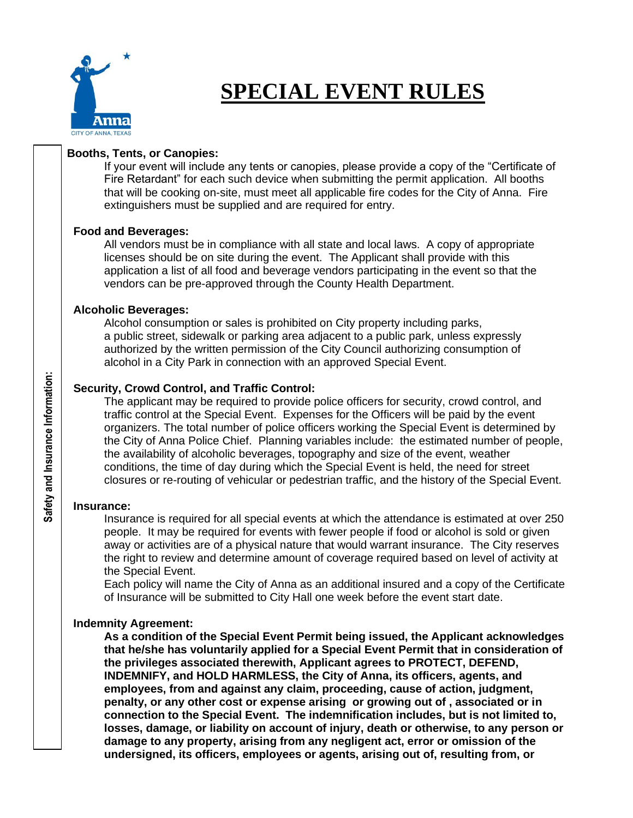

## **SPECIAL EVENT RULES**

#### **Booths, Tents, or Canopies:**

If your event will include any tents or canopies, please provide a copy of the "Certificate of Fire Retardant" for each such device when submitting the permit application. All booths that will be cooking on-site, must meet all applicable fire codes for the City of Anna. Fire extinguishers must be supplied and are required for entry.

#### **Food and Beverages:**

All vendors must be in compliance with all state and local laws. A copy of appropriate licenses should be on site during the event. The Applicant shall provide with this application a list of all food and beverage vendors participating in the event so that the vendors can be pre-approved through the County Health Department.

#### **Alcoholic Beverages:**

 Alcohol consumption or sales is prohibited on City property including parks, a public street, sidewalk or parking area adjacent to a public park, unless expressly authorized by the written permission of the City Council authorizing consumption of alcohol in a City Park in connection with an approved Special Event.

#### **Security, Crowd Control, and Traffic Control:**

The applicant may be required to provide police officers for security, crowd control, and traffic control at the Special Event. Expenses for the Officers will be paid by the event organizers. The total number of police officers working the Special Event is determined by the City of Anna Police Chief. Planning variables include: the estimated number of people, the availability of alcoholic beverages, topography and size of the event, weather conditions, the time of day during which the Special Event is held, the need for street closures or re-routing of vehicular or pedestrian traffic, and the history of the Special Event.

#### **Insurance:**

Insurance is required for all special events at which the attendance is estimated at over 250 people. It may be required for events with fewer people if food or alcohol is sold or given away or activities are of a physical nature that would warrant insurance. The City reserves the right to review and determine amount of coverage required based on level of activity at the Special Event.

Each policy will name the City of Anna as an additional insured and a copy of the Certificate of Insurance will be submitted to City Hall one week before the event start date.

#### **Indemnity Agreement:**

**As a condition of the Special Event Permit being issued, the Applicant acknowledges that he/she has voluntarily applied for a Special Event Permit that in consideration of the privileges associated therewith, Applicant agrees to PROTECT, DEFEND, INDEMNIFY, and HOLD HARMLESS, the City of Anna, its officers, agents, and employees, from and against any claim, proceeding, cause of action, judgment, penalty, or any other cost or expense arising or growing out of , associated or in connection to the Special Event. The indemnification includes, but is not limited to, losses, damage, or liability on account of injury, death or otherwise, to any person or damage to any property, arising from any negligent act, error or omission of the undersigned, its officers, employees or agents, arising out of, resulting from, or**